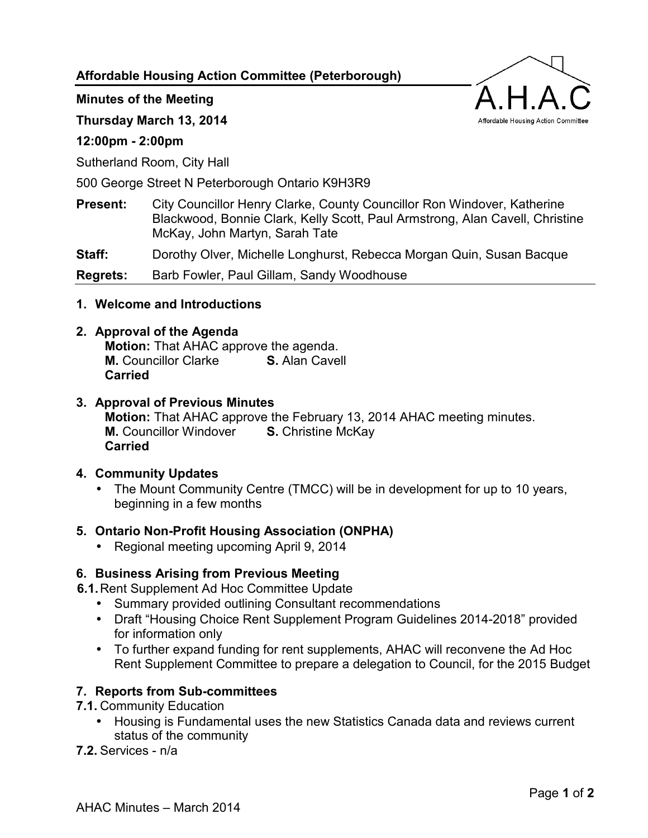**Affordable Housing Action Committee (Peterborough)** 

### **Minutes of the Meeting**

**Thursday March 13, 2014** 

## **12:00pm - 2:00pm**

Sutherland Room, City Hall

500 George Street N Peterborough Ontario K9H3R9

**Present:** City Councillor Henry Clarke, County Councillor Ron Windover, Katherine Blackwood, Bonnie Clark, Kelly Scott, Paul Armstrong, Alan Cavell, Christine McKay, John Martyn, Sarah Tate

**Staff:** Dorothy Olver, Michelle Longhurst, Rebecca Morgan Quin, Susan Bacque

**Regrets:** Barb Fowler, Paul Gillam, Sandy Woodhouse

**1. Welcome and Introductions** 

## **2. Approval of the Agenda**

**Motion:** That AHAC approve the agenda. **M.** Councillor Clarke **S.** Alan Cavell **Carried**

# **3. Approval of Previous Minutes**

**Motion:** That AHAC approve the February 13, 2014 AHAC meeting minutes. **M.** Councillor Windover **S.** Christine McKay **Carried**

### **4. Community Updates**

• The Mount Community Centre (TMCC) will be in development for up to 10 years, beginning in a few months

# **5. Ontario Non-Profit Housing Association (ONPHA)**

• Regional meeting upcoming April 9, 2014

# **6. Business Arising from Previous Meeting**

- **6.1.** Rent Supplement Ad Hoc Committee Update
	- Summary provided outlining Consultant recommendations
	- Draft "Housing Choice Rent Supplement Program Guidelines 2014-2018" provided for information only
	- To further expand funding for rent supplements, AHAC will reconvene the Ad Hoc Rent Supplement Committee to prepare a delegation to Council, for the 2015 Budget

# **7. Reports from Sub-committees**

- **7.1.** Community Education
	- Housing is Fundamental uses the new Statistics Canada data and reviews current status of the community

**7.2.** Services - n/a